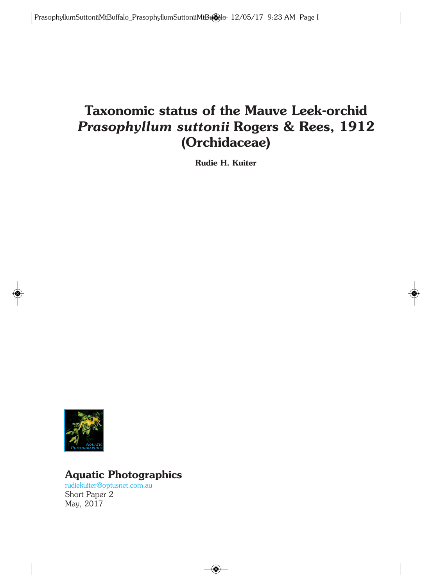# **Taxonomic status of the Mauve Leek-orchid** *Prasophyllum suttonii* **Rogers & Rees, 1912 (Orchidaceae)**

**Rudie H. Kuiter**



# **Aquatic Photographics**

rudiekuiter@optusnet.com.au Short Paper 2 May, 2017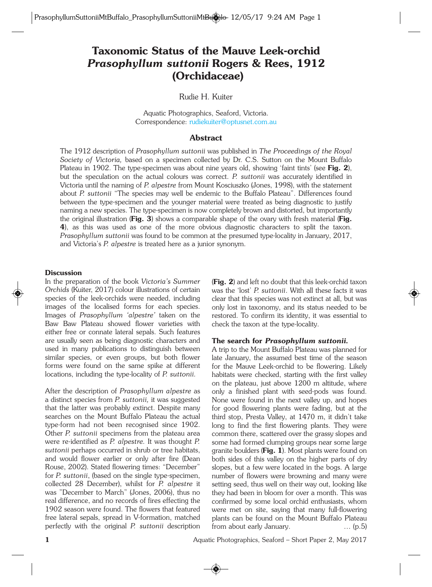# **Taxonomic Status of the Mauve Leek-orchid** *Prasophyllum suttonii* **Rogers & Rees, 1912 (Orchidaceae)**

Rudie H. Kuiter

Aquatic Photographics, Seaford, Victoria. Correspondence: rudiekuiter@optusnet.com.au

#### **Abstract**

The 1912 description of *Prasophyllum suttonii* was published in *The Proceedings of the Royal Society of Victoria,* based on a specimen collected by Dr. C.S. Sutton on the Mount Buffalo Plateau in 1902. The type-specimen was about nine years old, showing 'faint tints' (see **Fig. 2**), but the speculation on the actual colours was correct. *P. suttonii* was accurately identified in Victoria until the naming of *P. alpestre* from Mount Kosciuszko (Jones, 1998), with the statement about *P. suttonii* "The species may well be endemic to the Buffalo Plateau". Differences found between the type-specimen and the younger material were treated as being diagnostic to justify naming a new species. The type-specimen is now completely brown and distorted, but importantly the original illustration (**Fig. 3**) shows a comparable shape of the ovary with fresh material (**Fig. 4**), as this was used as one of the more obvious diagnostic characters to split the taxon. *Prasophyllum suttonii* was found to be common at the presumed type-locality in January, 2017, and Victoria's *P. alpestre* is treated here as a junior synonym.

### **Discussion**

In the preparation of the book *Victoria's Summer Orchids* (Kuiter, 2017) colour illustrations of certain species of the leek-orchids were needed, including images of the localised forms for each species. Images of *Prasophyllum 'alpestre'* taken on the Baw Baw Plateau showed flower varieties with either free or connate lateral sepals. Such features are usually seen as being diagnostic characters and used in many publications to distinguish between similar species, or even groups, but both flower forms were found on the same spike at different locations, including the type-locality of *P. suttonii.* 

After the description of *Prasophyllum alpestre* as a distinct species from *P. suttonii,* it was suggested that the latter was probably extinct. Despite many searches on the Mount Buffalo Plateau the actual type-form had not been recognised since 1902. Other *P. suttonii* specimens from the plateau area were re-identified as *P. alpestre.* It was thought *P. suttonii* perhaps occurred in shrub or tree habitats, and would flower earlier or only after fire (Dean Rouse, 2002). Stated flowering times: "December" for *P. suttonii*, (based on the single type-specimen, collected 28 December), whilst for *P. alpestre* it was "December to March" (Jones, 2006), thus no real difference, and no records of fires effecting the 1902 season were found. The flowers that featured free lateral sepals, spread in V-formation, matched perfectly with the original *P. suttonii* description (**Fig. 2**) and left no doubt that this leek-orchid taxon was the 'lost' *P. suttonii*. With all these facts it was clear that this species was not extinct at all, but was only lost in taxonomy, and its status needed to be restored. To confirm its identity, it was essential to check the taxon at the type-locality.

#### **The search for** *Prasophyllum suttonii***.**

A trip to the Mount Buffalo Plateau was planned for late January, the assumed best time of the season for the Mauve Leek-orchid to be flowering. Likely habitats were checked, starting with the first valley on the plateau, just above 1200 m altitude, where only a finished plant with seed-pods was found. None were found in the next valley up, and hopes for good flowering plants were fading, but at the third stop, Presta Valley, at 1470 m, it didn't take long to find the first flowering plants. They were common there, scattered over the grassy slopes and some had formed clumping groups near some large granite boulders (**Fig. 1**). Most plants were found on both sides of this valley on the higher parts of dry slopes, but a few were located in the bogs. A large number of flowers were browning and many were setting seed, thus well on their way out, looking like they had been in bloom for over a month. This was confirmed by some local orchid enthusiasts, whom were met on site, saying that many full-flowering plants can be found on the Mount Buffalo Plateau from about early January. … (p.5)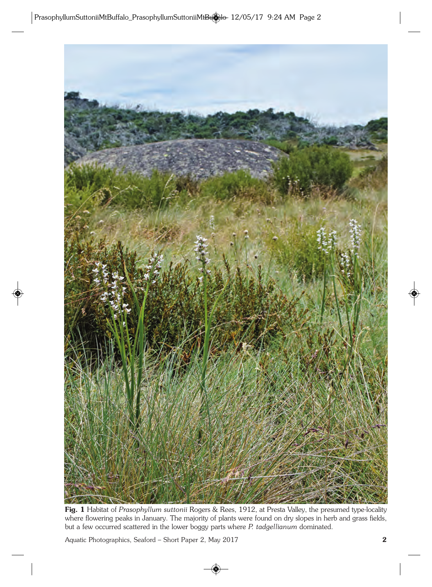

**Fig. 1** Habitat of *Prasophyllum suttonii* Rogers & Rees, 1912, at Presta Valley, the presumed type-locality where flowering peaks in January. The majority of plants were found on dry slopes in herb and grass fields, but a few occurred scattered in the lower boggy parts where *P. tadgellianum* dominated.

Aquatic Photographics, Seaford – Short Paper 2, May 2017 **2**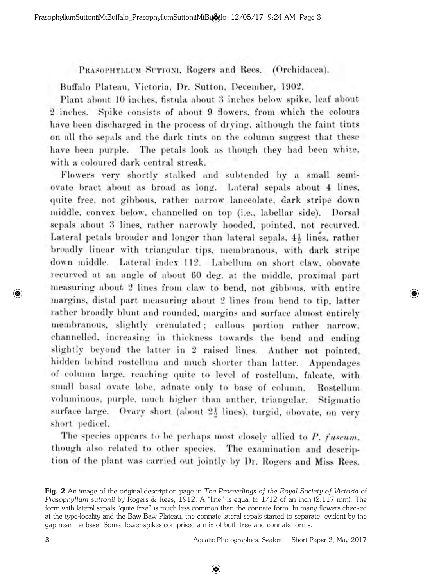PRASOPHYLLUM SUTTONI, Rogers and Rees. (Orchidacea).

Buffalo Plateau, Victoria, Dr. Sutton, December, 1902.

Plant about 10 inches, fistula about 3 inches below spike, leaf about 2 inches. Spike consists of about 9 flowers, from which the colours have been discharged in the process of drying, although the faint tints on all the sepals and the dark tints on the column suggest that these have been purple. The petals look as though they had been white. with a coloured dark central streak.

Flowers very shortly stalked and subtended by a small semiovate bract about as broad as long. Lateral sepals about 4 lines, quite free, not gibbous, rather narrow lanceolate, dark stripe down middle, convex below, channelled on top (i.e., labellar side). Dorsal sepals about 3 lines, rather narrowly hooded, pointed, not recurved. Lateral petals broader and longer than lateral sepals, 41 lines, rather broadly linear with triangular tips, membranous, with dark stripe down middle. Lateral index 112. Labellum on short claw, obovate recurved at an angle of about 60 deg. at the middle, proximal part measuring about 2 lines from claw to bend, not gibbous, with entire margins, distal part measuring about 2 lines from bend to tip, latter rather broadly blunt and rounded, margins and surface almost entirely membranous, slightly crenulated; callous portion rather narrow. channelled, increasing in thickness towards the bend and ending slightly beyond the latter in 2 raised lines. Anther not pointed, hidden behind rostellum and much shorter than latter. Appendages of column large, reaching quite to level of rostellum, falcate, with small basal ovate lobe, adnate only to base of column. Rostellum voluminous, purple, much higher than anther, triangular. Stigmatic surface large. Ovary short (about 21 lines), turgid, obovate, on very short pedicel.

The species appears to be perhaps most closely allied to P. fuscum. though also related to other species. The examination and description of the plant was carried out jointly by Dr. Rogers and Miss Rees.

**Fig. 2** An image of the original description page in *The Proceedings of the Royal Society of Victoria* of *Prasophyllum suttonii* by Rogers & Rees, 1912. A "line" is equal to 1/12 of an inch (2.117 mm). The form with lateral sepals "quite free" is much less common than the connate form. In many flowers checked at the type-locality and the Baw Baw Plateau, the connate lateral sepals started to separate, evident by the gap near the base. Some flower-spikes comprised a mix of both free and connate forms.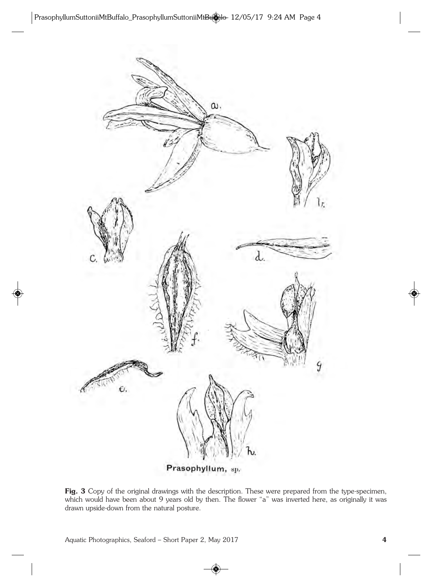

Prasophyllum, sp.

Fig. 3 Copy of the original drawings with the description. These were prepared from the type-specimen, which would have been about 9 years old by then. The flower "a" was inverted here, as originally it was drawn upside-down from the natural posture.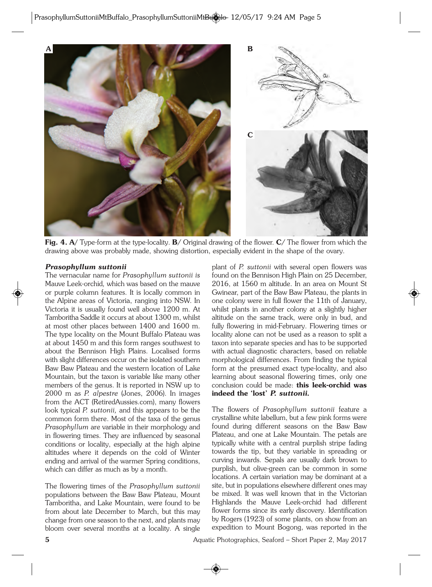

**Fig. 4. A/** Type-form at the type-locality. **B**/ Original drawing of the flower. **C**/ The flower from which the drawing above was probably made, showing distortion, especially evident in the shape of the ovary.

#### *Prasophyllum suttonii*

The vernacular name for *Prasophyllum suttonii is* Mauve Leek-orchid*,* which was based on the mauve or purple column features. It is locally common in the Alpine areas of Victoria, ranging into NSW. In Victoria it is usually found well above 1200 m. At Tamboritha Saddle it occurs at about 1300 m, whilst at most other places between 1400 and 1600 m. The type locality on the Mount Buffalo Plateau was at about 1450 m and this form ranges southwest to about the Bennison High Plains. Localised forms with slight differences occur on the isolated southern Baw Baw Plateau and the western location of Lake Mountain, but the taxon is variable like many other members of the genus. It is reported in NSW up to 2000 m as *P. alpestre* (Jones, 2006). In images from the ACT (RetiredAussies.com), many flowers look typical *P. suttonii,* and this appears to be the common form there. Most of the taxa of the genus *Prasophyllum* are variable in their morphology and in flowering times. They are influenced by seasonal conditions or locality, especially at the high alpine altitudes where it depends on the cold of Winter ending and arrival of the warmer Spring conditions, which can differ as much as by a month.

The flowering times of the *Prasophyllum suttonii* populations between the Baw Baw Plateau, Mount Tamboritha, and Lake Mountain, were found to be from about late December to March, but this may change from one season to the next, and plants may bloom over several months at a locality. A single

plant of *P. suttonii* with several open flowers was found on the Bennison High Plain on 25 December, 2016, at 1560 m altitude. In an area on Mount St Gwinear, part of the Baw Baw Plateau, the plants in one colony were in full flower the 11th of January, whilst plants in another colony at a slightly higher altitude on the same track, were only in bud, and fully flowering in mid-February. Flowering times or locality alone can not be used as a reason to split a taxon into separate species and has to be supported with actual diagnostic characters, based on reliable morphological differences. From finding the typical form at the presumed exact type-locality, and also learning about seasonal flowering times, only one conclusion could be made: **this leek-orchid was indeed the 'lost'** *P. suttonii.* 

The flowers of *Prasophyllum suttonii* feature a crystalline white labellum, but a few pink forms were found during different seasons on the Baw Baw Plateau, and one at Lake Mountain. The petals are typically white with a central purplish stripe fading towards the tip, but they variable in spreading or curving inwards. Sepals are usually dark brown to purplish, but olive-green can be common in some locations. A certain variation may be dominant at a site, but in populations elsewhere different ones may be mixed. It was well known that in the Victorian Highlands the Mauve Leek-orchid had different flower forms since its early discovery. Identification by Rogers (1923) of some plants, on show from an expedition to Mount Bogong, was reported in the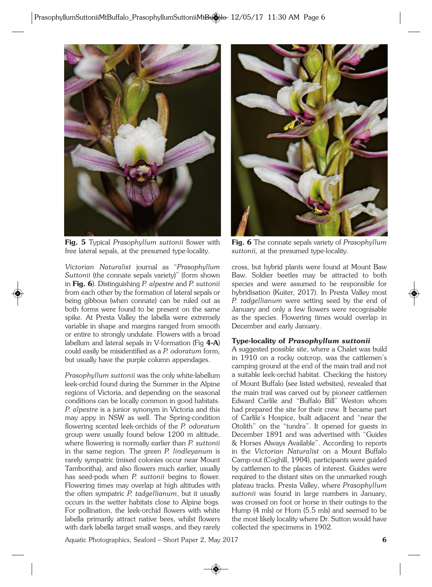

**Fig. 5** Typical *Prasophyllum suttonii* flower with free lateral sepals, at the presumed type-locality.

*Victorian Naturalist* journal as "*Prasophyllum Suttonii* (the connate sepals variety)" (form shown in **Fig. 6**). Distinguishing *P. alpestre* and *P. suttonii* from each other by the formation of lateral sepals or being gibbous (when connate) can be ruled out as both forms were found to be present on the same spike. At Presta Valley the labella were extremely variable in shape and margins ranged from smooth or entire to strongly undulate. Flowers with a broad labellum and lateral sepals in V-formation (Fig **4-A**) could easily be misidentified as a *P. odoratum* form, but usually have the purple column appendages.

*Prasophyllum suttonii* was the only white-labellum leek-orchid found during the Summer in the Alpine regions of Victoria, and depending on the seasonal conditions can be locally common in good habitats. *P. alpestre* is a junior synonym in Victoria and this may appy in NSW as well. The Spring-condition flowering scented leek-orchids of the *P. odoratum* group were usually found below 1200 m altitude, where flowering is normally earlier than *P. suttonii* in the same region*.* The green *P. lindleyanum* is rarely sympatric (mixed colonies occur near Mount Tamboritha), and also flowers much earlier, usually has seed-pods when *P. suttonii* begins to flower. Flowering times may overlap at high altitudes with the often sympatric *P. tadgellianum*, but it usually occurs in the wetter habitats close to Alpine bogs. For pollination, the leek-orchid flowers with white labella primarily attract native bees, whilst flowers with dark labella target small wasps, and they rarely



**Fig. 6** The connate sepals variety of *Prasophyllum suttonii,* at the presumed type-locality.

cross, but hybrid plants were found at Mount Baw Baw. Soldier beetles may be attracted to both species and were assumed to be responsible for hybridisation (Kuiter, 2017). In Presta Valley most *P. tadgellianum* were setting seed by the end of January and only a few flowers were recognisable as the species. Flowering times would overlap in December and early January.

## **Type-locality of** *Prasophyllum suttonii*

A suggested possible site, where a Chalet was build in 1910 on a rocky outcrop, was the cattlemen's camping ground at the end of the main trail and not a suitable leek-orchid habitat. Checking the history of Mount Buffalo (see listed websites), revealed that the main trail was carved out by pioneer cattlemen Edward Carlile and "Buffalo Bill" Weston whom had prepared the site for their crew. It became part of Carlile's Hospice, built adjacent and "near the Otolith" on the "tundra". It opened for guests in December 1891 and was advertised with "Guides & Horses Always Available". According to reports in the *Victorian Naturalist* on a Mount Buffalo Camp-out (Coghill, 1904), participants were guided by cattlemen to the places of interest. Guides were required to the distant sites on the unmarked rough plateau tracks. Presta Valley, where *Prasophyllum suttonii* was found in large numbers in January, was crossed on foot or horse in their outings to the Hump (4 mls) or Horn (5.5 mls) and seemed to be the most likely locality where Dr. Sutton would have collected the specimens in 1902.

Aquatic Photographics, Seaford – Short Paper 2, May 2017 **6**